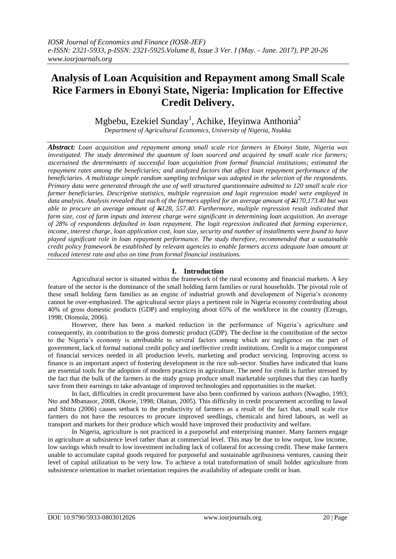# **Analysis of Loan Acquisition and Repayment among Small Scale Rice Farmers in Ebonyi State, Nigeria: Implication for Effective Credit Delivery.**

Mgbebu, Ezekiel Sunday<sup>1</sup>, Achike, Ifeyinwa Anthonia<sup>2</sup>

*Department of Agricultural Economics, University of Nigeria, Nsukka*

*Abstract: Loan acquisition and repayment among small scale rice farmers in Ebonyi State, Nigeria was investigated. The study determined the quantum of loan sourced and acquired by small scale rice farmers; ascertained the determinants of successful loan acquisition from formal financial institutions; estimated the repayment rates among the beneficiaries; and analyzed factors that affect loan repayment performance of the beneficiaries. A multistage simple random sampling technique was adopted in the selection of the respondents. Primary data were generated through the use of well structured questionnaire admitted to 120 small scale rice farmer beneficiaries. Descriptive statistics, multiple regression and logit regression model were employed in data analysis. Analysis revealed that each of the farmers applied for an average amount of N170,173.40 but was able to procure an average amount of N128, 557.40. Furthermore, multiple regression result indicated that farm size, cost of farm inputs and interest charge were significant in determining loan acquisition. An average of 28% of respondents defaulted in loan repayment. The logit regression indicated that farming experience, income, interest charge, loan application cost, loan size, security and number of installments were found to have played significant role in loan repayment performance. The study therefore, recommended that a sustainable credit policy framework be established by relevant agencies to enable farmers access adequate loan amount at reduced interest rate and also on time from formal financial institutions.*

# **I. Introduction**

Agricultural sector is situated within the framework of the rural economy and financial markets. A key feature of the sector is the dominance of the small holding farm families or rural households. The pivotal role of these small holding farm families as an engine of industrial growth and development of Nigeria's economy cannot be over-emphasized. The agricultural sector plays a pertinent role in Nigeria economy contributing about 40% of gross domestic products (GDP) and employing about 65% of the workforce in the country (Ezeugo, 1998; Olomola, 2006).

However, there has been a marked reduction in the performance of Nigeria's agriculture and consequently, its contribution to the gross domestic product (GDP). The decline in the contribution of the sector to the Nigeria's economy is attributable to several factors among which are negligence on the part of government, lack of formal national credit policy and ineffective credit institutions. Credit is a major component of financial services needed in all production levels, marketing and product servicing. Improving access to finance is an important aspect of fostering development in the rice sub-sector. Studies have indicated that loans are essential tools for the adoption of modern practices in agriculture. The need for credit is further stressed by the fact that the bulk of the farmers in the study group produce small marketable surpluses that they can hardly save from their earnings to take advantage of improved technologies and opportunities in the market.

In fact, difficulties in credit procurement have also been confirmed by various authors (Nwagbo, 1993; Nto and Mbanasor, 2008, Okorie, 1998; Olaitan, 2005). This difficulty in credit procurement according to lawal and Shittu (2006) causes setback to the productivity of farmers as a result of the fact that, small scale rice farmers do not have the resources to procure improved seedlings, chemicals and hired labours, as well as transport and markets for their produce which would have improved their productivity and welfare.

In Nigeria, agriculture is not practiced in a purposeful and enterprising manner. Many farmers engage in agriculture at subsistence level rather than at commercial level. This may be due to low output, low income, low savings which result to low investment including lack of collateral for accessing credit. These make farmers unable to accumulate capital goods required for purposeful and sustainable agribusiness ventures, causing their level of capital utilization to be very low. To achieve a total transformation of small holder agriculture from subsistence orientation to market orientation requires the availability of adequate credit or loan.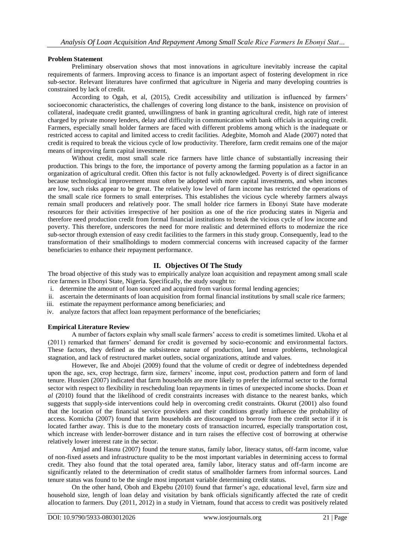## **Problem Statement**

Preliminary observation shows that most innovations in agriculture inevitably increase the capital requirements of farmers. Improving access to finance is an important aspect of fostering development in rice sub-sector. Relevant literatures have confirmed that agriculture in Nigeria and many developing countries is constrained by lack of credit.

According to Ogah, et al, (2015), Credit accessibility and utilization is influenced by farmers' socioeconomic characteristics, the challenges of covering long distance to the bank, insistence on provision of collateral, inadequate credit granted, unwillingness of bank in granting agricultural credit, high rate of interest charged by private money lenders, delay and difficulty in communication with bank officials in acquiring credit. Farmers, especially small holder farmers are faced with different problems among which is the inadequate or restricted access to capital and limited access to credit facilities. Adegbite, Momoh and Alade (2007) noted that credit is required to break the vicious cycle of low productivity. Therefore, farm credit remains one of the major means of improving farm capital investment.

Without credit, most small scale rice farmers have little chance of substantially increasing their production. This brings to the fore, the importance of poverty among the farming population as a factor in an organization of agricultural credit. Often this factor is not fully acknowledged. Poverty is of direct significance because technological improvement must often be adopted with more capital investments, and when incomes are low, such risks appear to be great. The relatively low level of farm income has restricted the operations of the small scale rice formers to small enterprises. This establishes the vicious cycle whereby farmers always remain small producers and relatively poor. The small holder rice farmers in Ebonyi State have moderate resources for their activities irrespective of her position as one of the rice producing states in Nigeria and therefore need production credit from formal financial institutions to break the vicious cycle of low income and poverty. This therefore, underscores the need for more realistic and determined efforts to modernize the rice sub-sector through extension of easy credit facilities to the farmers in this study group. Consequently, lead to the transformation of their smallholdings to modern commercial concerns with increased capacity of the farmer beneficiaries to enhance their repayment performance.

# **II. Objectives Of The Study**

The broad objective of this study was to empirically analyze loan acquisition and repayment among small scale rice farmers in Ebonyi State, Nigeria. Specifically, the study sought to:

- i. determine the amount of loan sourced and acquired from various formal lending agencies;
- ii. ascertain the determinants of loan acquisition from formal financial institutions by small scale rice farmers;
- iii. estimate the repayment performance among beneficiaries; and
- iv. analyze factors that affect loan repayment performance of the beneficiaries;

# **Empirical Literature Review**

A number of factors explain why small scale farmers' access to credit is sometimes limited. Ukoha et al (2011) remarked that farmers' demand for credit is governed by socio-economic and environmental factors. These factors, they defined as the subsistence nature of production, land tenure problems, technological stagnation, and lack of restructured market outlets, social organizations, attitude and values.

However, Ike and Abojei (2009) found that the volume of credit or degree of indebtedness depended upon the age, sex, crop hectrage, farm size, farmers' income, input cost, production pattern and form of land tenure. Hussien (2007) indicated that farm households are more likely to prefer the informal sector to the formal sector with respect to flexibility in rescheduling loan repayments in times of unexpected income shocks. Doan *et al* (2010) found that the likelihood of credit constraints increases with distance to the nearest banks, which suggests that supply-side interventions could help in overcoming credit constraints. Okurut (2001) also found that the location of the financial service providers and their conditions greatly influence the probability of access. Komicha (2007) found that farm households are discouraged to borrow from the credit sector if it is located farther away. This is due to the monetary costs of transaction incurred, especially transportation cost, which increase with lender-borrower distance and in turn raises the effective cost of borrowing at otherwise relatively lower interest rate in the sector.

Amjad and Hasnu (2007) found the tenure status, family labor, literacy status, off-farm income, value of non-fixed assets and infrastructure quality to be the most important variables in determining access to formal credit. They also found that the total operated area, family labor, literacy status and off-farm income are significantly related to the determination of credit status of smallholder farmers from informal sources. Land tenure status was found to be the single most important variable determining credit status.

On the other hand, Oboh and Ekpebu (2010) found that farmer's age, educational level, farm size and household size, length of loan delay and visitation by bank officials significantly affected the rate of credit allocation to farmers. Duy (2011, 2012) in a study in Vietnam, found that access to credit was positively related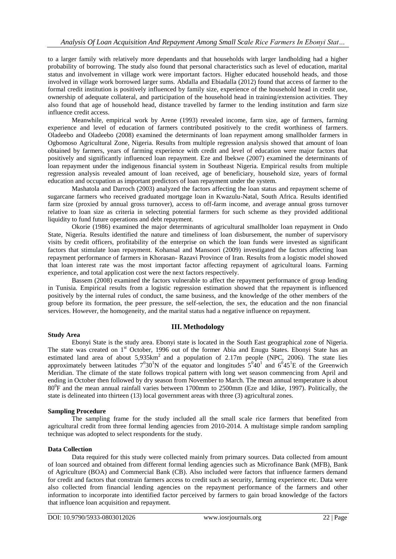to a larger family with relatively more dependants and that households with larger landholding had a higher probability of borrowing. The study also found that personal characteristics such as level of education, marital status and involvement in village work were important factors. Higher educated household heads, and those involved in village work borrowed larger sums. Abdalla and Ebiadalla (2012) found that access of farmer to the formal credit institution is positively influenced by family size, experience of the household head in credit use, ownership of adequate collateral, and participation of the household head in training/extension activities. They also found that age of household head, distance travelled by farmer to the lending institution and farm size influence credit access.

Meanwhile, empirical work by Arene (1993) revealed income, farm size, age of farmers, farming experience and level of education of farmers contributed positively to the credit worthiness of farmers. Oladeebo and Oladeebo (2008) examined the determinants of loan repayment among smallholder farmers in Ogbomoso Agricultural Zone, Nigeria. Results from multiple regression analysis showed that amount of loan obtained by farmers, years of farming experience with credit and level of education were major factors that positively and significantly influenced loan repayment. Eze and Ibekwe (2007) examined the determinants of loan repayment under the indigenous financial system in Southeast Nigeria. Empirical results from multiple regression analysis revealed amount of loan received, age of beneficiary, household size, years of formal education and occupation as important predictors of loan repayment under the system.

Mashatola and Darroch (2003) analyzed the factors affecting the loan status and repayment scheme of sugarcane farmers who received graduated mortgage loan in Kwazulu-Natal, South Africa. Results identified farm size (proxied by annual gross turnover), access to off-farm income, and average annual gross turnover relative to loan size as criteria in selecting potential farmers for such scheme as they provided additional liquidity to fund future operations and debt repayment.

Okorie (1986) examined the major determinants of agricultural smallholder loan repayment in Ondo State, Nigeria. Results identified the nature and timeliness of loan disbursement, the number of supervisory visits by credit officers, profitability of the enterprise on which the loan funds were invested as significant factors that stimulate loan repayment. Kohansal and Mansoori (2009) investigated the factors affecting loan repayment performance of farmers in Khorasan- Razavi Province of Iran. Results from a logistic model showed that loan interest rate was the most important factor affecting repayment of agricultural loans. Farming experience, and total application cost were the next factors respectively.

Bassem (2008) examined the factors vulnerable to affect the repayment performance of group lending in Tunisia. Empirical results from a logistic regression estimation showed that the repayment is influenced positively by the internal rules of conduct, the same business, and the knowledge of the other members of the group before its formation, the peer pressure, the self-selection, the sex, the education and the non financial services. However, the homogeneity, and the marital status had a negative influence on repayment.

# **III. Methodology**

Ebonyi State is the study area. Ebonyi state is located in the South East geographical zone of Nigeria. The state was created on 1<sup>st</sup> October, 1996 out of the former Abia and Enugu States. Ebonyi State has an estimated land area of about  $5,935 \text{km}^2$  and a population of 2.17m people (NPC, 2006). The state lies approximately between latitudes  $7^030^1$ N of the equator and longitudes  $5^040^1$  and  $6^045^1$ E of the Greenwich Meridian. The climate of the state follows tropical pattern with long wet season commencing from April and ending in October then followed by dry season from November to March. The mean annual temperature is about 80<sup>0</sup>F and the mean annual rainfall varies between 1700mm to 2500mm (Eze and Idike, 1997). Politically, the state is delineated into thirteen (13) local government areas with three (3) agricultural zones.

## **Sampling Procedure**

**Study Area**

The sampling frame for the study included all the small scale rice farmers that benefited from agricultural credit from three formal lending agencies from 2010-2014. A multistage simple random sampling technique was adopted to select respondents for the study.

## **Data Collection**

Data required for this study were collected mainly from primary sources. Data collected from amount of loan sourced and obtained from different formal lending agencies such as Microfinance Bank (MFB), Bank of Agriculture (BOA) and Commercial Bank (CB). Also included were factors that influence farmers demand for credit and factors that constrain farmers access to credit such as security, farming experience etc. Data were also collected from financial lending agencies on the repayment performance of the farmers and other information to incorporate into identified factor perceived by farmers to gain broad knowledge of the factors that influence loan acquisition and repayment.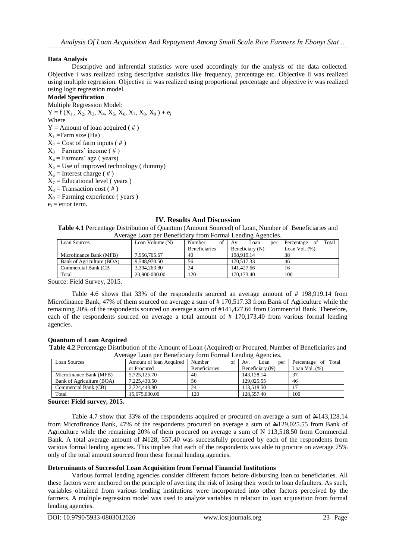# **Data Analysis**

Descriptive and inferential statistics were used accordingly for the analysis of the data collected. Objective i was realized using descriptive statistics like frequency, percentage etc. Objective ii was realized using multiple regression. Objective iii was realized using proportional percentage and objective iv was realized using logit regression model.

# **Model Specification**

Multiple Regression Model:  $Y = f(X_1, X_2, X_3, X_4, X_5, X_6, X_7, X_8, X_9) + e_1$ Where  $Y =$  Amount of loan acquired (#)  $X_1$  =Farm size (Ha)  $X_2$  = Cost of farm inputs (#)  $X_3$  = Farmers' income (#)  $X_4$  = Farmers' age (years)  $X_5$  = Use of improved technology ( dummy)  $X_6$  = Interest charge (#)  $X_7$  = Educational level (years)  $X_8$  = Transaction cost (#)  $X_9$  = Farming experience ( years )  $e_i$  = error term.

## **IV. Results And Discussion**

**Table 4.1** Percentage Distribution of Quantum (Amount Sourced) of Loan, Number of Beneficiaries and Average Loan per Beneficiary from Formal Lending Agencies.

| Loan Sources                 | Loan Volume (N) | of<br>Number         | Loan<br>per<br>Av. | Total<br>Percentage<br>of |
|------------------------------|-----------------|----------------------|--------------------|---------------------------|
|                              |                 | <b>Beneficiaries</b> | Beneficiary (N)    | Loan Vol. $(\%)$          |
| Microfinance Bank (MFB)      | 7.956.765.67    | 40                   | 198.919.14         | 38                        |
| Bank of Agriculture (BOA)    | 9.548.970.50    | 56                   | 170.517.33         | 46                        |
| Commercial Bank (CB          | 3.394.263.80    | 24                   | 141,427.66         | 16                        |
| Total                        | 20.900.000.00   | 120                  | 170.173.40         | 100                       |
| ----<br>$\sim$ $\sim$ $\sim$ |                 |                      |                    |                           |

Source: Field Survey, 2015.

Table 4.6 shows that 33% of the respondents sourced an average amount of # 198,919.14 from Microfinance Bank, 47% of them sourced on average a sum of # 170,517.33 from Bank of Agriculture while the remaining 20% of the respondents sourced on average a sum of #141,427.66 from Commercial Bank. Therefore, each of the respondents sourced on average a total amount of #170,173.40 from various formal lending agencies.

## **Quantum of Loan Acquired**

**Table 4.2** Percentage Distribution of the Amount of Loan (Acquired) or Procured, Number of Beneficiaries and Average Loan per Beneficiary form Formal Lending Agencies.

| Loan Sources              | Amount of loan Acquired | Number<br>οf         | Loan<br>per<br>Av. | Total<br>Percentage of |
|---------------------------|-------------------------|----------------------|--------------------|------------------------|
|                           | or Procured             | <b>Beneficiaries</b> | Beneficiary (N)    | Loan Vol. $(\%)$       |
| Microfinance Bank (MFB)   | 5.725.125.70            | 40                   | 143.128.14         | 37                     |
| Bank of Agriculture (BOA) | 7.225.430.50            | 56                   | 129,025.55         | 46                     |
| Commercial Bank (CB)      | 2.724.443.80            | 24                   | 113,518.50         |                        |
| Total                     | 15.675,000.00           | 120                  | 128,557.40         | 100                    |

**Source: Field survey, 2015.**

Table 4.7 show that 33% of the respondents acquired or procured on average a sum of N143,128.14 from Microfinance Bank, 47% of the respondents procured on average a sum of  $\text{H}129,025.55$  from Bank of Agriculture while the remaining 20% of them procured on average a sum of  $\frac{1}{2}$  113,518.50 from Commercial Bank. A total average amount of  $\frac{128}{557.40}$  was successfully procured by each of the respondents from various formal lending agencies. This implies that each of the respondents was able to procure on average 75% only of the total amount sourced from these formal lending agencies.

# **Determinants of Successful Loan Acquisition from Formal Financial Institutions**

Various formal lending agencies consider different factors before disbursing loan to beneficiaries. All these factors were anchored on the principle of averting the risk of losing their worth to loan defaulters. As such, variables obtained from various lending institutions were incorporated into other factors perceived by the farmers. A multiple regression model was used to analyze variables in relation to loan acquisition from formal lending agencies.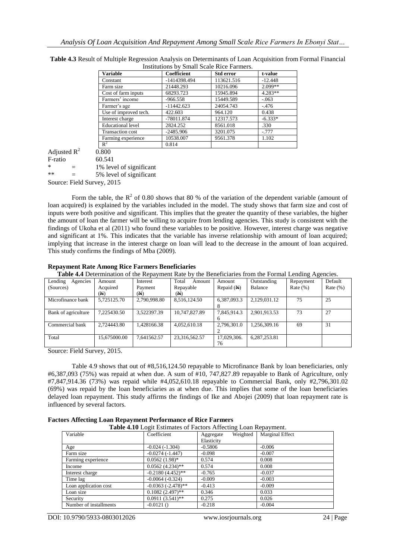| Variable                 | <b>Coefficient</b> | Std error  | t-value   |  |
|--------------------------|--------------------|------------|-----------|--|
| Constant                 | -1414398.494       | 113621.516 | $-12.448$ |  |
| Farm size                | 21448.293          | 10216.096  | $2.099**$ |  |
| Cost of farm inputs      | 68293.723          | 15945.894  | $4.283**$ |  |
| Farmers' income          | $-966.558$         | 15449.589  | $-.063$   |  |
| Farmer's age             | $-11442.623$       | 24054.743  | $-.476$   |  |
| Use of improved tech.    | 422.603            | 964.120    | 0.438     |  |
| Interest charge          | -78011.874         | 12317.573  | $-6.333*$ |  |
| <b>Educational level</b> | 2824.252           | 8561.018   | .330      |  |
| <b>Transaction cost</b>  | $-2485.906$        | 3201.075   | $-.777$   |  |
| Farming experience       | 10538.007          | 9561.378   | 1.102     |  |
| $R^2$                    | 0.814              |            |           |  |

**Table 4.3** Result of Multiple Regression Analysis on Determinants of Loan Acquisition from Formal Financial  $U_S$  Small Scale B

|                            |                 | $\mathbb{R}^2$          |  |  |
|----------------------------|-----------------|-------------------------|--|--|
| Adjusted $R^2$             |                 | 0.800                   |  |  |
| F-ratio                    |                 | 60.541                  |  |  |
| $\ast$                     | =               | 1% level of significant |  |  |
| $**$                       | $\qquad \qquad$ | 5% level of significant |  |  |
| Source: Field Survey, 2015 |                 |                         |  |  |

Form the table, the  $R^2$  of 0.80 shows that 80 % of the variation of the dependent variable (amount of loan acquired) is explained by the variables included in the model. The study shows that farm size and cost of inputs were both positive and significant. This implies that the greater the quantity of these variables, the higher the amount of loan the farmer will be willing to acquire from lending agencies. This study is consistent with the findings of Ukoha et al (2011) who found these variables to be positive. However, interest charge was negative and significant at 1%. This indicates that the variable has inverse relationship with amount of loan acquired; implying that increase in the interest charge on loan will lead to the decrease in the amount of loan acquired. This study confirms the findings of Mba (2009).

## **Repayment Rate Among Rice Farmers Beneficiaries**

**Table 4.4** Determination of the Repayment Rate by the Beneficiaries from the Formal Lending Agencies.

| Agencies<br>Lending<br>(Sources) | Amount<br>Acquired | Interest<br>Payment | Total<br>Amount<br>Repayable | Amount<br>Repaid $(A)$ | Outstanding<br>Balance | $\sigma$ $\sigma$<br>Repayment<br>Rate $(\%)$ | Default<br>Rate $(\%)$ |
|----------------------------------|--------------------|---------------------|------------------------------|------------------------|------------------------|-----------------------------------------------|------------------------|
|                                  | (H)                | (N)                 | (A)                          |                        |                        |                                               |                        |
| Microfinance bank                | 5.725125.70        | 2,790,998.80        | 8,516,124.50                 | 6,387,093.3            | 2.129.031.12           | 75                                            | 25                     |
| Bank of agriculture              | 7.225430.50        | 3.522397.39         | 10.747.827.89                | 7.845.914.3            | 2.901.913.53           | 73                                            | 27                     |
| Commercial bank                  | 2.724443.80        | 1.428166.38         | 4,052,610.18                 | 2,796,301.0            | 1,256,309.16           | 69                                            | 31                     |
| Total                            | 15.675000.00       | 7.641562.57         | 23,316,562.57                | 17,029,306.<br>76      | 6,287,253.81           |                                               |                        |

Source: Field Survey, 2015.

Table 4.9 shows that out of #8,516,124.50 repayable to Microfinance Bank by loan beneficiaries, only #6,387,093 (75%) was repaid at when due. A sum of #10, 747,827.89 repayable to Bank of Agriculture, only #7,847,914.36 (73%) was repaid while #4,052,610.18 repayable to Commercial Bank, only #2,796,301.02 (69%) was repaid by the loan beneficiaries as at when due. This implies that some of the loan beneficiaries delayed loan repayment. This study affirms the findings of Ike and Abojei (2009) that loan repayment rate is influenced by several factors.

## **Factors Affecting Loan Repayment Performance of Rice Farmers**

**Table 4.10** Logit Estimates of Factors Affecting Loan Repayment.

| Variable               | Coefficient             | Weighted<br>Aggregate | <b>Marginal Effect</b> |
|------------------------|-------------------------|-----------------------|------------------------|
|                        |                         | Elasticity            |                        |
| Age                    | $-0.024(-1.304)$        | $-0.5806$             | $-0.006$               |
| Farm size              | $-0.0274(-1.447)$       | $-0.098$              | $-0.007$               |
| Farming experience     | $0.0562(1.98)$ *        | 0.574                 | 0.008                  |
| Income                 | $0.0562(4.234)$ **      | 0.574                 | 0.008                  |
| Interest charge        | $-0.2180(4.452)$ **     | $-0.765$              | $-0.037$               |
| Time lag               | $-0.0064(-0.324)$       | $-0.009$              | $-0.003$               |
| Loan application cost  | $-0.0363$ $(-2.478)$ ** | $-0.413$              | $-0.009$               |
| Loan size              | $0.1082(2.497)$ **      | 0.346                 | 0.033                  |
| Security               | $0.0911(3.541)$ **      | 0.275                 | 0.026                  |
| Number of installments | $-0.0121$ O             | $-0.218$              | $-0.004$               |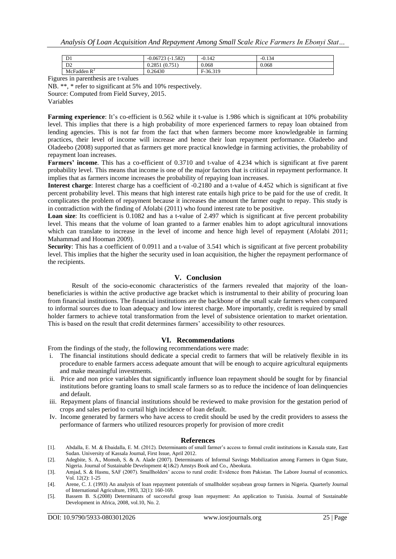| D <sub>1</sub> | 1.582)<br>$-0.06722$<br>. | $-0.142$ | $-0.134$ |
|----------------|---------------------------|----------|----------|
| D2             | (0.751)<br>0.2851         | 0.068    | 0.068    |
| McFadden $R^2$ | 0.26430                   | F-36.319 |          |

Figures in parenthesis are t-values

NB. \*\*, \* refer to significant at 5% and 10% respectively. Source: Computed from Field Survey, 2015.

Variables

**Farming experience**: It's co-efficient is 0.562 while it t-value is 1.986 which is significant at 10% probability level. This implies that there is a high probability of more experienced farmers to repay loan obtained from lending agencies. This is not far from the fact that when farmers become more knowledgeable in farming practices, their level of income will increase and hence their loan repayment performance. Oladeebo and Oladeebo (2008) supported that as farmers get more practical knowledge in farming activities, the probability of repayment loan increases.

**Farmers' income**. This has a co-efficient of 0.3710 and t-value of 4.234 which is significant at five parent probability level. This means that income is one of the major factors that is critical in repayment performance. It implies that as farmers income increases the probability of repaying loan increases.

**Interest charge**: Interest charge has a coefficient of -0.2180 and a t-value of 4.452 which is significant at five percent probability level. This means that high interest rate entails high price to be paid for the use of credit. It complicates the problem of repayment because it increases the amount the farmer ought to repay. This study is in contradiction with the finding of Afolabi (2011) who found interest rate to be positive.

**Loan size**: Its coefficient is 0.1082 and has a t-value of 2.497 which is significant at five percent probability level. This means that the volume of loan granted to a farmer enables him to adopt agricultural innovations which can translate to increase in the level of income and hence high level of repayment (Afolabi 2011; Mahammad and Hooman 2009).

**Security**: This has a coefficient of 0.0911 and a t-value of 3.541 which is significant at five percent probability level. This implies that the higher the security used in loan acquisition, the higher the repayment performance of the recipients.

## **V. Conclusion**

Result of the socio-economic characteristics of the farmers revealed that majority of the loanbeneficiaries is within the active productive age bracket which is instrumental to their ability of procuring loan from financial institutions. The financial institutions are the backbone of the small scale farmers when compared to informal sources due to loan adequacy and low interest charge. More importantly, credit is required by small holder farmers to achieve total transformation from the level of subsistence orientation to market orientation. This is based on the result that credit determines farmers' accessibility to other resources.

## **VI. Recommendations**

From the findings of the study, the following recommendations were made:

- i. The financial institutions should dedicate a special credit to farmers that will be relatively flexible in its procedure to enable farmers access adequate amount that will be enough to acquire agricultural equipments and make meaningful investments.
- ii. Price and non price variables that significantly influence loan repayment should be sought for by financial institutions before granting loans to small scale farmers so as to reduce the incidence of loan delinquencies and default.
- iii. Repayment plans of financial institutions should be reviewed to make provision for the gestation period of crops and sales period to curtail high incidence of loan default.
- Iv. Income generated by farmers who have access to credit should be used by the credit providers to assess the performance of farmers who utilized resources properly for provision of more credit

## **References**

- [1]. Abdalla, E. M. & Ebaidalla, E. M. (2012). Determinants of small farmer's access to formal credit institutions in Kassala state, East Sudan. University of Kassala Journal, First Issue, April 2012.
- [2]. Adegbite, S. A., Momoh, S. & A. Alade (2007). Determinants of Informal Savings Mobilization among Farmers in Ogun State, Nigeria. Journal of Sustainable Development 4(1&2) Amstys Book and Co., Abeokuta.
- [3]. Amjad, S. & Hasnu, SAF (2007). Smallholders' access to rural credit: Evidence from Pakistan. The Labore Journal of economics. Vol. 12(2): 1-25
- [4]. Arene, C. J. (1993) An analysis of loan repayment potentials of smallholder soyabean group farmers in Nigeria. Quarterly Journal of International Agriculture, 1993, 32(1): 160-169.
- [5]. Bassem B. S.(2008) Determinants of successful group loan repayment: An application to Tunisia. Journal of Sustainable Development in Africa, 2008, vol.10, No. 2.